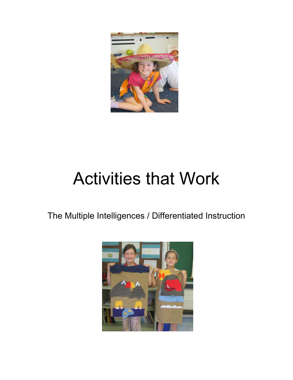

# Activities that Work

The Multiple Intelligences / Differentiated Instruction

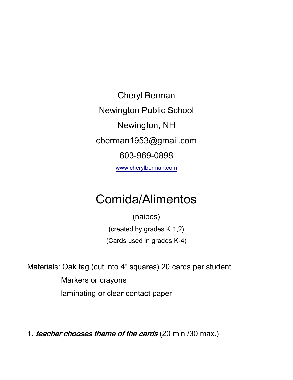Cheryl Berman Newington Public School Newington, NH cberman1953@gmail.com 603-969-0898 [www.cherylberman.com](http://www.cherylberman.com/)

# Comida/Alimentos

(naipes)

(created by grades K,1,2)

(Cards used in grades K-4)

Materials: Oak tag (cut into 4" squares) 20 cards per student Markers or crayons laminating or clear contact paper

1. teacher chooses theme of the cards (20 min /30 max.)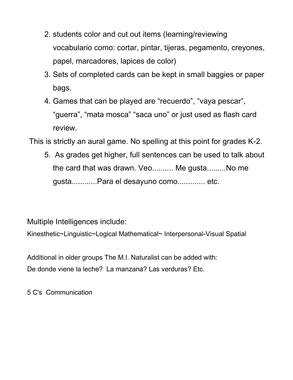- 2. students color and cut out items (learning/reviewing vocabulario como: cortar, pintar, tijeras, pegamento, creyones, papel, marcadores, lapices de color)
- 3. Sets of completed cards can be kept in small baggies or paper bags.
- 4. Games that can be played are "recuerdo", "vaya pescar", "guerra", "mata mosca" "saca uno" or just used as flash card review.

This is strictly an aural game. No spelling at this point for grades K-2.

5. As grades get higher, full sentences can be used to talk about the card that was drawn. Veo.......... Me gusta.........No me gusta............Para el desayuno como............. etc.

Multiple Intelligences include:

Kinesthetic~Linguistic~Logical Mathematical~ Interpersonal-Visual Spatial

Additional in older groups The M.I. Naturalist can be added with: De donde viene la leche? La manzana? Las verduras? Etc.

5 C's Communication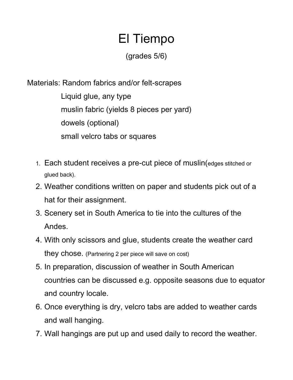# El Tiempo

(grades 5/6)

Materials: Random fabrics and/or felt-scrapes

Liquid glue, any type muslin fabric (yields 8 pieces per yard) dowels (optional) small velcro tabs or squares

- 1. Each student receives a pre-cut piece of muslin(edges stitched or glued back).
- 2. Weather conditions written on paper and students pick out of a hat for their assignment.
- 3. Scenery set in South America to tie into the cultures of the Andes.
- 4. With only scissors and glue, students create the weather card they chose. (Partnering 2 per piece will save on cost)
- 5. In preparation, discussion of weather in South American countries can be discussed e.g. opposite seasons due to equator and country locale.
- 6. Once everything is dry, velcro tabs are added to weather cards and wall hanging.
- 7. Wall hangings are put up and used daily to record the weather.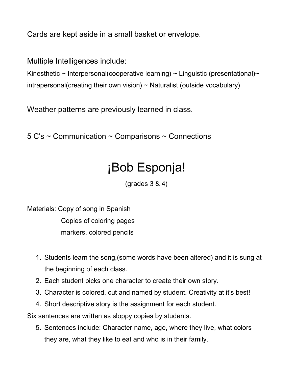Cards are kept aside in a small basket or envelope.

Multiple Intelligences include:

Kinesthetic ~ Interpersonal(cooperative learning) ~ Linguistic (presentational)~ intrapersonal(creating their own vision)  $\sim$  Naturalist (outside vocabulary)

Weather patterns are previously learned in class.

5 C's ~ Communication ~ Comparisons ~ Connections

## ¡Bob Esponja!

(grades 3 & 4)

Materials: Copy of song in Spanish Copies of coloring pages markers, colored pencils

- 1. Students learn the song,(some words have been altered) and it is sung at the beginning of each class.
- 2. Each student picks one character to create their own story.
- 3. Character is colored, cut and named by student. Creativity at it's best!
- 4. Short descriptive story is the assignment for each student.

Six sentences are written as sloppy copies by students.

5. Sentences include: Character name, age, where they live, what colors they are, what they like to eat and who is in their family.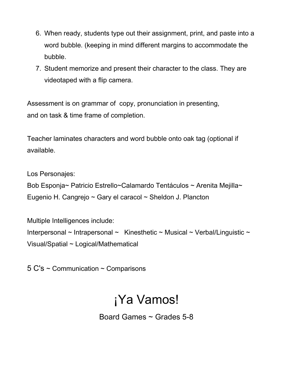- 6. When ready, students type out their assignment, print, and paste into a word bubble. (keeping in mind different margins to accommodate the bubble.
- 7. Student memorize and present their character to the class. They are videotaped with a flip camera.

Assessment is on grammar of copy, pronunciation in presenting, and on task & time frame of completion.

Teacher laminates characters and word bubble onto oak tag (optional if available.

Los Personajes:

Bob Esponja~ Patricio Estrello~Calamardo Tentáculos ~ Arenita Mejilla~ Eugenio H. Cangrejo ~ Gary el caracol ~ Sheldon J. Plancton

Multiple Intelligences include: Interpersonal  $\sim$  Intrapersonal  $\sim$  Kinesthetic  $\sim$  Musical  $\sim$  Verbal/Linguistic  $\sim$ Visual/Spatial ~ Logical/Mathematical

5 C's ~ Communication ~ Comparisons

### ¡Ya Vamos!

Board Games ~ Grades 5-8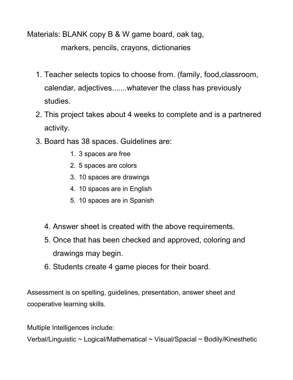Materials: BLANK copy B & W game board, oak tag,

markers, pencils, crayons, dictionaries

- 1. Teacher selects topics to choose from. (family, food,classroom, calendar, adjectives.......whatever the class has previously studies.
- 2. This project takes about 4 weeks to complete and is a partnered activity.
- 3. Board has 38 spaces. Guidelines are:
	- 1. 3 spaces are free
	- 2. 5 spaces are colors
	- 3. 10 spaces are drawings
	- 4. 10 spaces are in English
	- 5. 10 spaces are in Spanish
	- 4. Answer sheet is created with the above requirements.
	- 5. Once that has been checked and approved, coloring and drawings may begin.
	- 6. Students create 4 game pieces for their board.

Assessment is on spelling, guidelines, presentation, answer sheet and cooperative learning skills.

Multiple Intelligences include:

Verbal/Linguistic ~ Logical/Mathematical ~ Visual/Spacial ~ Bodily/Kinesthetic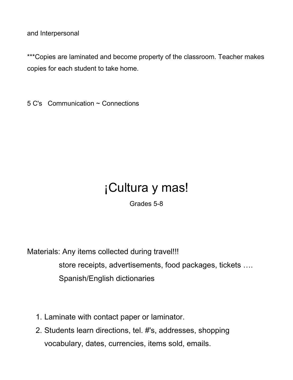and Interpersonal

\*\*\*Copies are laminated and become property of the classroom. Teacher makes copies for each student to take home.

5 C's Communication ~ Connections

# ¡Cultura y mas!

Grades 5-8

Materials: Any items collected during travel!!! store receipts, advertisements, food packages, tickets …. Spanish/English dictionaries

- 1. Laminate with contact paper or laminator.
- 2. Students learn directions, tel. #'s, addresses, shopping vocabulary, dates, currencies, items sold, emails.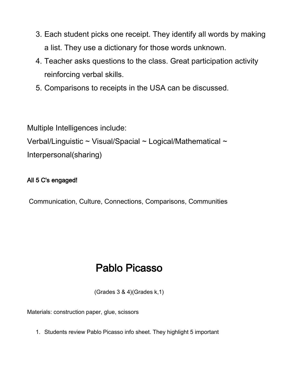- 3. Each student picks one receipt. They identify all words by making a list. They use a dictionary for those words unknown.
- 4. Teacher asks questions to the class. Great participation activity reinforcing verbal skills.
- 5. Comparisons to receipts in the USA can be discussed.

Multiple Intelligences include: Verbal/Linguistic ~ Visual/Spacial ~ Logical/Mathematical ~ Interpersonal(sharing)

#### All 5 C's engaged!

Communication, Culture, Connections, Comparisons, Communities

### Pablo Picasso

(Grades 3 & 4)(Grades k,1)

Materials: construction paper, glue, scissors

1. Students review Pablo Picasso info sheet. They highlight 5 important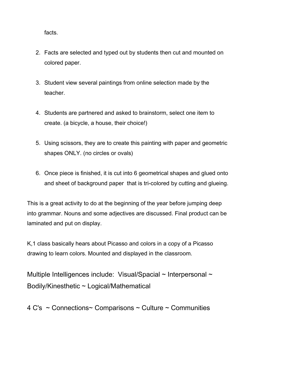facts.

- 2. Facts are selected and typed out by students then cut and mounted on colored paper.
- 3. Student view several paintings from online selection made by the teacher.
- 4. Students are partnered and asked to brainstorm, select one item to create. (a bicycle, a house, their choice!)
- 5. Using scissors, they are to create this painting with paper and geometric shapes ONLY. (no circles or ovals)
- 6. Once piece is finished, it is cut into 6 geometrical shapes and glued onto and sheet of background paper that is tri-colored by cutting and glueing.

This is a great activity to do at the beginning of the year before jumping deep into grammar. Nouns and some adjectives are discussed. Final product can be laminated and put on display.

K,1 class basically hears about Picasso and colors in a copy of a Picasso drawing to learn colors. Mounted and displayed in the classroom.

Multiple Intelligences include: Visual/Spacial ~ Interpersonal ~ Bodily/Kinesthetic ~ Logical/Mathematical

4 C's ~ Connections~ Comparisons ~ Culture ~ Communities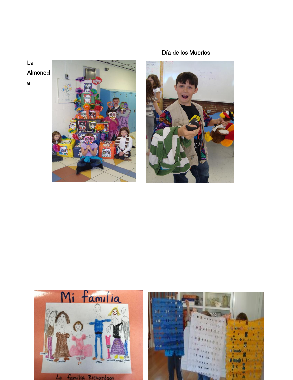

#### Día de los Muertos